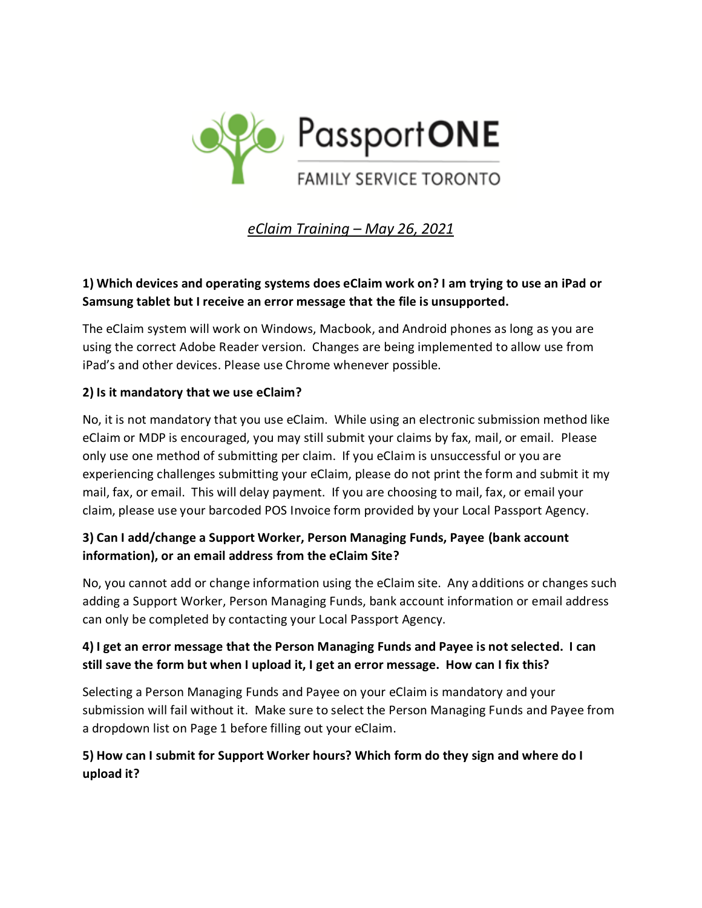

*eClaim Training – May 26, 2021*

# **1) Which devices and operating systems does eClaim work on? I am trying to use an iPad or Samsung tablet but I receive an error message that the file is unsupported.**

The eClaim system will work on Windows, Macbook, and Android phones as long as you are using the correct Adobe Reader version. Changes are being implemented to allow use from iPad's and other devices. Please use Chrome whenever possible.

## **2) Is it mandatory that we use eClaim?**

No, it is not mandatory that you use eClaim. While using an electronic submission method like eClaim or MDP is encouraged, you may still submit your claims by fax, mail, or email. Please only use one method of submitting per claim. If you eClaim is unsuccessful or you are experiencing challenges submitting your eClaim, please do not print the form and submit it my mail, fax, or email. This will delay payment. If you are choosing to mail, fax, or email your claim, please use your barcoded POS Invoice form provided by your Local Passport Agency.

# **3) Can I add/change a Support Worker, Person Managing Funds, Payee (bank account information), or an email address from the eClaim Site?**

No, you cannot add or change information using the eClaim site. Any additions or changes such adding a Support Worker, Person Managing Funds, bank account information or email address can only be completed by contacting your Local Passport Agency.

# **4) I get an error message that the Person Managing Funds and Payee is not selected. I can still save the form but when I upload it, I get an error message. How can I fix this?**

Selecting a Person Managing Funds and Payee on your eClaim is mandatory and your submission will fail without it. Make sure to select the Person Managing Funds and Payee from a dropdown list on Page 1 before filling out your eClaim.

## **5) How can I submit for Support Worker hours? Which form do they sign and where do I upload it?**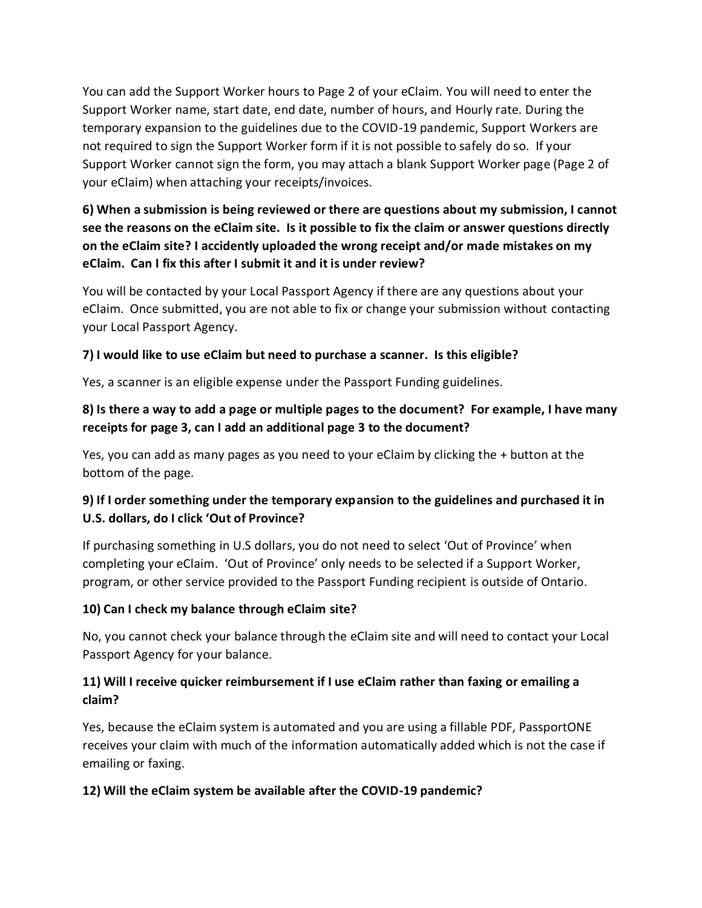You can add the Support Worker hours to Page 2 of your eClaim. You will need to enter the Support Worker name, start date, end date, number of hours, and Hourly rate. During the temporary expansion to the guidelines due to the COVID-19 pandemic, Support Workers are not required to sign the Support Worker form if it is not possible to safely do so. If your Support Worker cannot sign the form, you may attach a blank Support Worker page (Page 2 of your eClaim) when attaching your receipts/invoices.

# **6) When a submission is being reviewed or there are questions about my submission, I cannot see the reasons on the eClaim site. Is it possible to fix the claim or answer questions directly on the eClaim site? I accidently uploaded the wrong receipt and/or made mistakes on my eClaim. Can I fix this after I submit it and it is under review?**

You will be contacted by your Local Passport Agency if there are any questions about your eClaim. Once submitted, you are not able to fix or change your submission without contacting your Local Passport Agency.

## **7) I would like to use eClaim but need to purchase a scanner. Is this eligible?**

Yes, a scanner is an eligible expense under the Passport Funding guidelines.

## **8) Is there a way to add a page or multiple pages to the document? For example, I have many receipts for page 3, can I add an additional page 3 to the document?**

Yes, you can add as many pages as you need to your eClaim by clicking the + button at the bottom of the page.

## **9) If I order something under the temporary expansion to the guidelines and purchased it in U.S. dollars, do I click 'Out of Province?**

If purchasing something in U.S dollars, you do not need to select 'Out of Province' when completing your eClaim. 'Out of Province' only needs to be selected if a Support Worker, program, or other service provided to the Passport Funding recipient is outside of Ontario.

#### **10) Can I check my balance through eClaim site?**

No, you cannot check your balance through the eClaim site and will need to contact your Local Passport Agency for your balance.

## **11) Will I receive quicker reimbursement if I use eClaim rather than faxing or emailing a claim?**

Yes, because the eClaim system is automated and you are using a fillable PDF, PassportONE receives your claim with much of the information automatically added which is not the case if emailing or faxing.

#### **12) Will the eClaim system be available after the COVID-19 pandemic?**